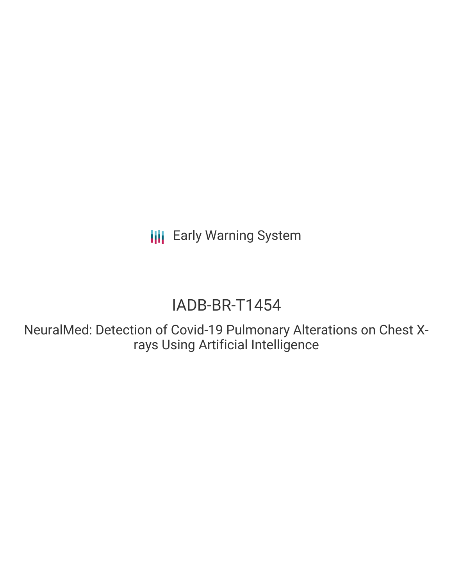**III** Early Warning System

# IADB-BR-T1454

NeuralMed: Detection of Covid-19 Pulmonary Alterations on Chest Xrays Using Artificial Intelligence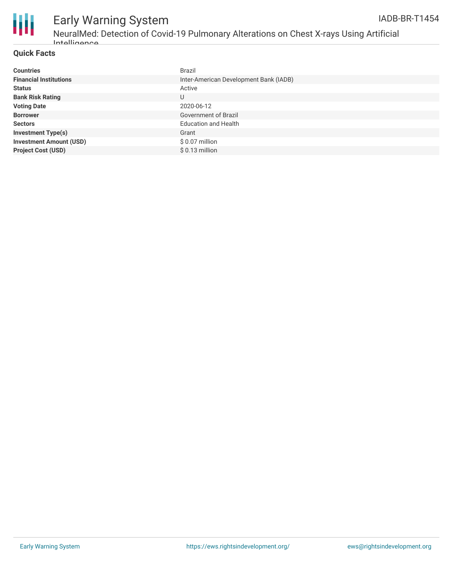

#### Early Warning System NeuralMed: Detection of Covid-19 Pulmonary Alterations on Chest X-rays Using Artificial Intelligence IADB-BR-T1454

#### **Quick Facts**

| <b>Countries</b>               | <b>Brazil</b>                          |
|--------------------------------|----------------------------------------|
| <b>Financial Institutions</b>  | Inter-American Development Bank (IADB) |
| <b>Status</b>                  | Active                                 |
| <b>Bank Risk Rating</b>        | U                                      |
| <b>Voting Date</b>             | 2020-06-12                             |
| <b>Borrower</b>                | Government of Brazil                   |
| <b>Sectors</b>                 | <b>Education and Health</b>            |
| <b>Investment Type(s)</b>      | Grant                                  |
| <b>Investment Amount (USD)</b> | $$0.07$ million                        |
| <b>Project Cost (USD)</b>      | $$0.13$ million                        |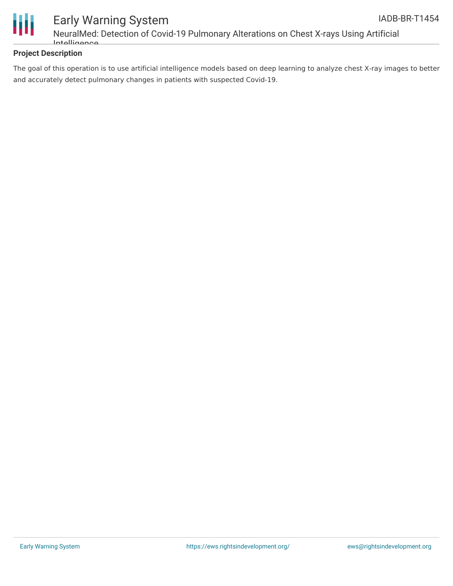

## Early Warning System NeuralMed: Detection of Covid-19 Pulmonary Alterations on Chest X-rays Using Artificial Intelligence

### **Project Description**

The goal of this operation is to use artificial intelligence models based on deep learning to analyze chest X-ray images to better and accurately detect pulmonary changes in patients with suspected Covid-19.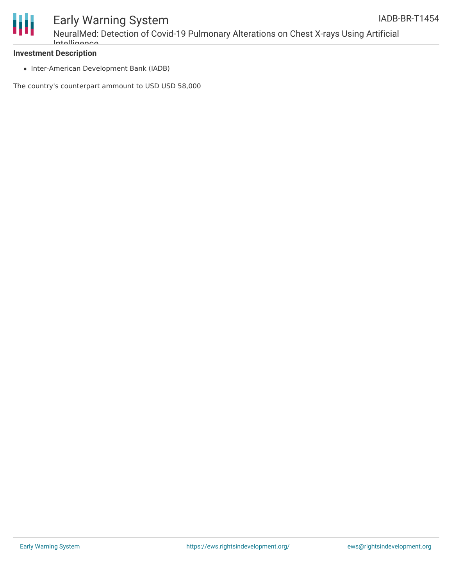

## Early Warning System NeuralMed: Detection of Covid-19 Pulmonary Alterations on Chest X-rays Using Artificial Intelligence

#### **Investment Description**

• Inter-American Development Bank (IADB)

The country's counterpart ammount to USD USD 58,000